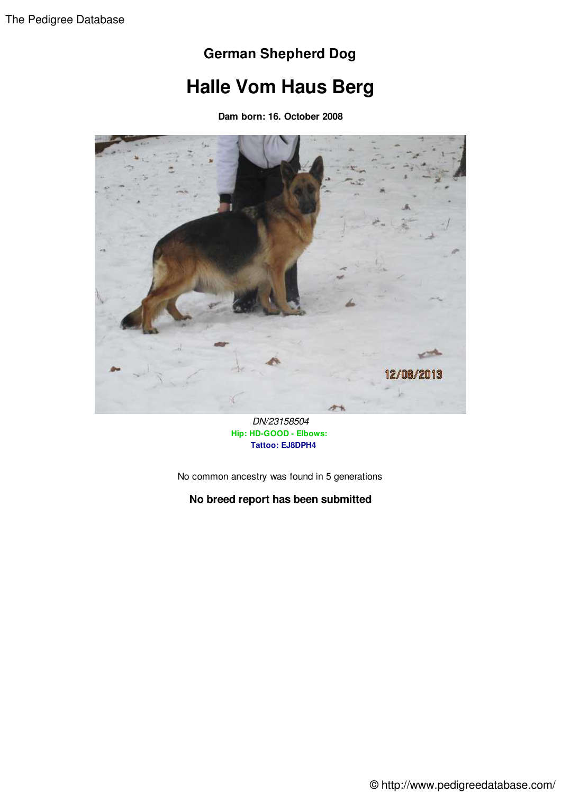### **German Shepherd Dog**

# **Halle Vom Haus Berg**

**Dam born: 16. October 2008**



*DN/23158504* **Hip: HD-GOOD - Elbows: Tattoo: EJ8DPH4**

No common ancestry was found in 5 generations

#### **No breed report has been submitted**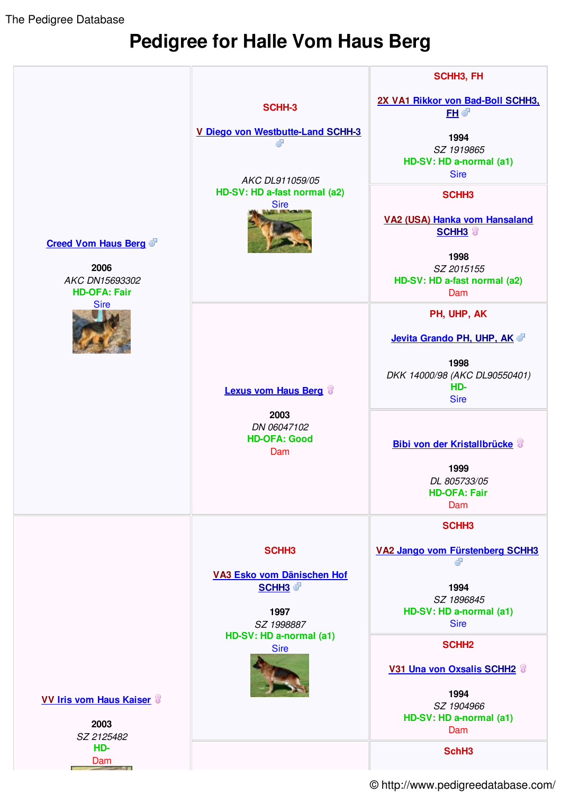The Pedigree Database

## **Pedigree for Halle Vom Haus Berg**



© http://www.pedigreedatabase.com/